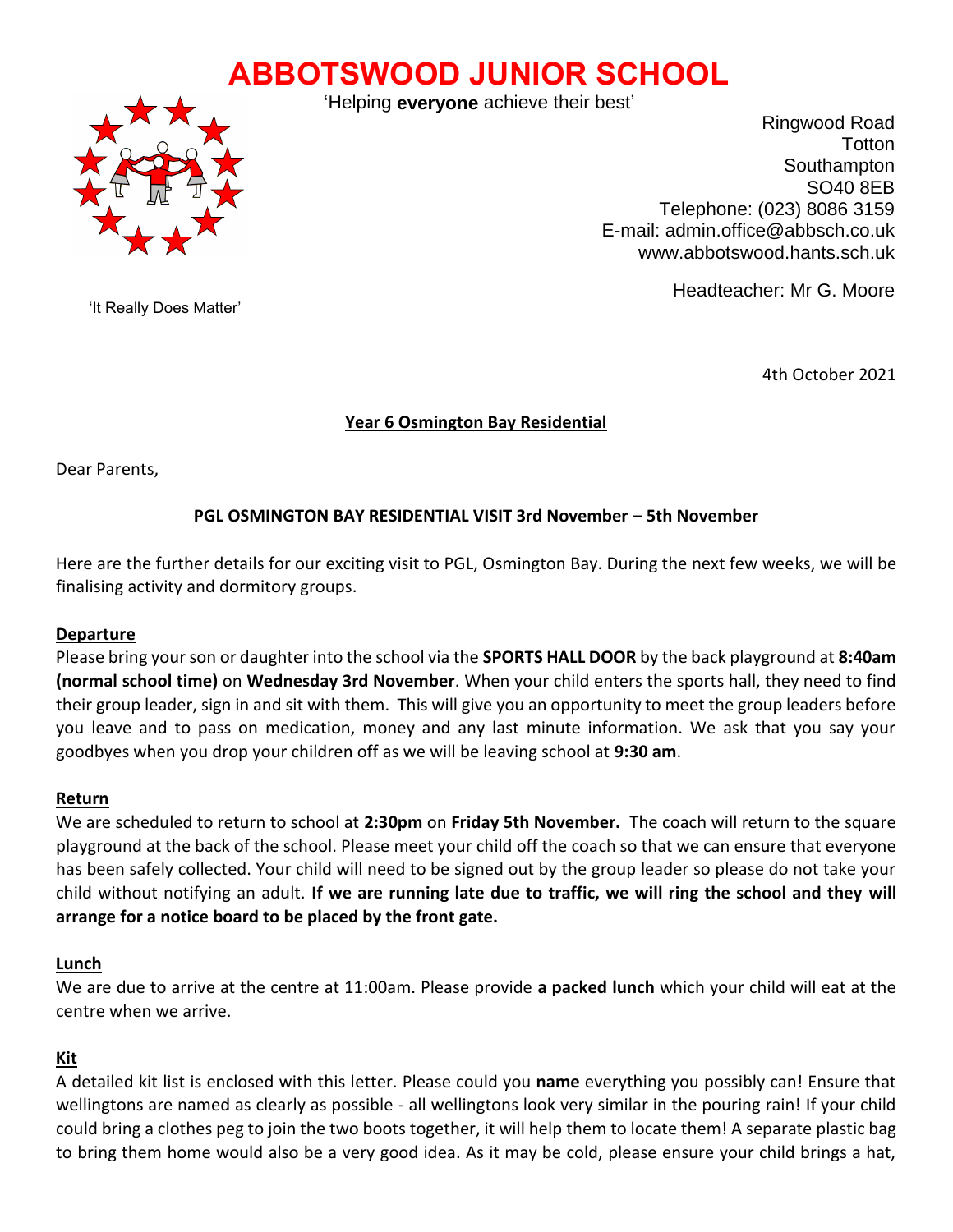# **ABBOTSWOOD JUNIOR SCHOOL**



'Helping **everyone** achieve their best'

Ringwood Road **Totton Southampton** SO40 8EB Telephone: (023) 8086 3159 E-mail: admin.office@abbsch.co.uk www.abbotswood.hants.sch.uk

Headteacher: Mr G. Moore

'It Really Does Matter'

4th October 2021

#### **Year 6 Osmington Bay Residential**  $V_{\rm O}$   $V_{\rm O}$   $\sim$   $C_{\rm O}$   $\sim$   $N_{\rm O}$

Dear Parents,

# **PGL OSMINGTON BAY RESIDENTIAL VISIT 3rd November – 5th November**

Here are the further details for our exciting visit to PGL, Osmington Bay. During the next few weeks, we will be finalising activity and dormitory groups.

#### **Departure**

Please bring your son or daughter into the school via the **SPORTS HALL DOOR** by the back playground at **8:40am (normal school time)** on **Wednesday 3rd November**. When your child enters the sports hall, they need to find their group leader, sign in and sit with them. This will give you an opportunity to meet the group leaders before you leave and to pass on medication, money and any last minute information. We ask that you say your goodbyes when you drop your children off as we will be leaving school at **9:30 am**.

#### **Return**

We are scheduled to return to school at **2:30pm** on **Friday 5th November.** The coach will return to the square playground at the back of the school. Please meet your child off the coach so that we can ensure that everyone has been safely collected. Your child will need to be signed out by the group leader so please do not take your child without notifying an adult. **If we are running late due to traffic, we will ring the school and they will arrange for a notice board to be placed by the front gate.**

#### **Lunch**

We are due to arrive at the centre at 11:00am. Please provide **a packed lunch** which your child will eat at the centre when we arrive.

#### **Kit**

A detailed kit list is enclosed with this letter. Please could you **name** everything you possibly can! Ensure that wellingtons are named as clearly as possible - all wellingtons look very similar in the pouring rain! If your child could bring a clothes peg to join the two boots together, it will help them to locate them! A separate plastic bag to bring them home would also be a very good idea. As it may be cold, please ensure your child brings a hat,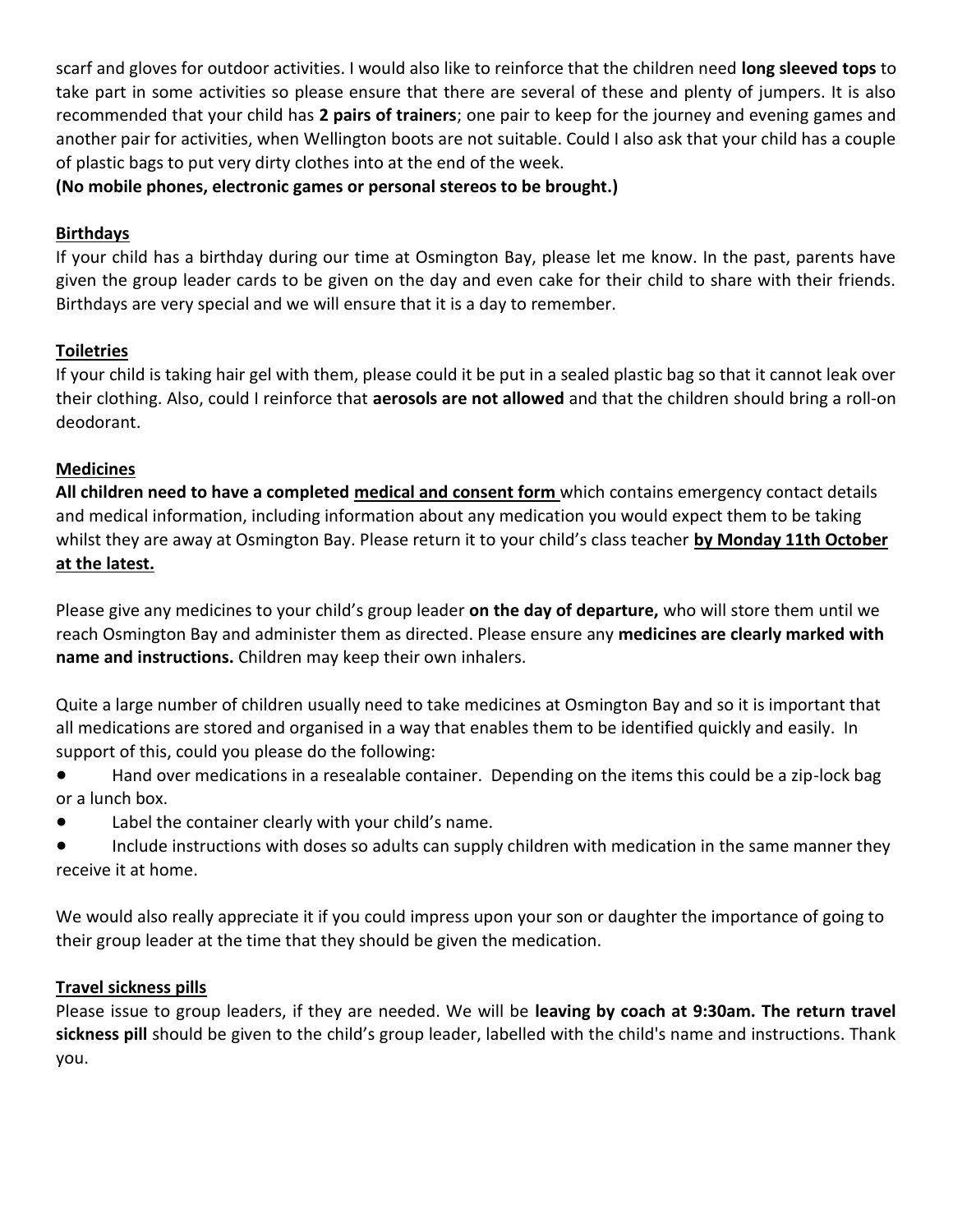scarf and gloves for outdoor activities. I would also like to reinforce that the children need **long sleeved tops** to take part in some activities so please ensure that there are several of these and plenty of jumpers. It is also recommended that your child has **2 pairs of trainers**; one pair to keep for the journey and evening games and another pair for activities, when Wellington boots are not suitable. Could I also ask that your child has a couple of plastic bags to put very dirty clothes into at the end of the week.

**(No mobile phones, electronic games or personal stereos to be brought.)** 

#### **Birthdays**

If your child has a birthday during our time at Osmington Bay, please let me know. In the past, parents have given the group leader cards to be given on the day and even cake for their child to share with their friends. Birthdays are very special and we will ensure that it is a day to remember.

# **Toiletries**

If your child is taking hair gel with them, please could it be put in a sealed plastic bag so that it cannot leak over their clothing. Also, could I reinforce that **aerosols are not allowed** and that the children should bring a roll-on deodorant.

### **Medicines**

**All children need to have a completed medical and consent form** which contains emergency contact details and medical information, including information about any medication you would expect them to be taking whilst they are away at Osmington Bay. Please return it to your child's class teacher **by Monday 11th October at the latest.**

Please give any medicines to your child's group leader **on the day of departure,** who will store them until we reach Osmington Bay and administer them as directed. Please ensure any **medicines are clearly marked with name and instructions.** Children may keep their own inhalers.

Quite a large number of children usually need to take medicines at Osmington Bay and so it is important that all medications are stored and organised in a way that enables them to be identified quickly and easily. In support of this, could you please do the following:

- Hand over medications in a resealable container. Depending on the items this could be a zip-lock bag or a lunch box.
- Label the container clearly with your child's name.
- Include instructions with doses so adults can supply children with medication in the same manner they receive it at home.

We would also really appreciate it if you could impress upon your son or daughter the importance of going to their group leader at the time that they should be given the medication.

#### **Travel sickness pills**

Please issue to group leaders, if they are needed. We will be **leaving by coach at 9:30am. The return travel sickness pill** should be given to the child's group leader, labelled with the child's name and instructions. Thank you.